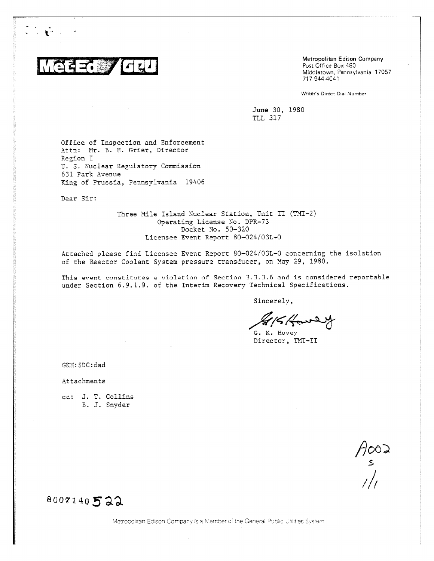

 $\mathbb{R}^n$ 

Metropolitan Edison Company Post Office Box 480 Middletown, Pennsylvania 17057 717 944-4041

Writer's Direct Dial Number

June 30, 1980 TLL 317

Office of Inspection and Enforcement Attn: Mr. B. H. Grier, Director Region I U. S. Nuclear Regulatory Commission 631 Park Avenue King of Prussia, Pennsylvania 19406

Dear Sir:

Three Mile Island Nuclear Station, Unit II (TMI-2) Operating License No. DPR-73 Docket No. 50-320 Licensee Event Report 80-024/03L-0

Attached please find Licensee Event Report 80-024/03L-0 concerning the isolation of the Reactor Coolant System pressure transducer, on May 29, 1980.

This event constitutes a violation of Section 3.3.3.6 and is considered reportable under Section 6.9.1.9. of the Interim Recovery Technical Specifications.

Sincerely,

G. K. Hovey Director, TMI-II

GKE:SDC:dad

Attachments

cc: J. T. Collins B. J. Snyder

 $A_{s}^{\text{max}}$ 

# 8007140 *5a:;.*

Metropolitan Edison Company is a Member of the General Public Utilities System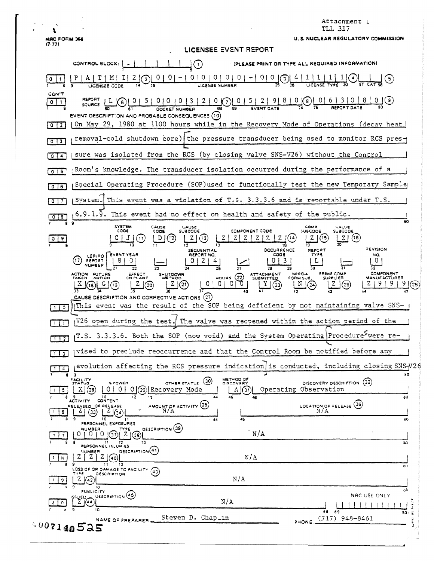¥ **NRC FORM 366** 

Attachment 1 TLL 317

| <b>NRC FORM 366</b><br>(7.77) | <b>U. S. NUCLEAR REGULATORY COMMISSION</b>                                                                                                                                                                                                                                                                                                                                                                                            |
|-------------------------------|---------------------------------------------------------------------------------------------------------------------------------------------------------------------------------------------------------------------------------------------------------------------------------------------------------------------------------------------------------------------------------------------------------------------------------------|
|                               | LICENSEE EVENT REPORT                                                                                                                                                                                                                                                                                                                                                                                                                 |
|                               | CONTROL BLOCK:   A<br>$\odot$<br>(PLEASE PRINT OR TYPE ALL REQUIRED INFORMATION)                                                                                                                                                                                                                                                                                                                                                      |
|                               | $\begin{bmatrix} 0 & 0 \\ 0 & 1 \end{bmatrix}$<br>(3)<br>LICENSE NUMBER                                                                                                                                                                                                                                                                                                                                                               |
| CON'T<br>$0$ $1$ $1$          | SOURCE                                                                                                                                                                                                                                                                                                                                                                                                                                |
| $0$   2                       | EVENT DESCRIPTION AND PROBABLE CONSEQUENCES (10)<br>On May 29, 1980 at 1100 hours while in the Recovery Mode of Operations (decay heat)                                                                                                                                                                                                                                                                                               |
| 0 <sup>13</sup>               | removal-cold shutdown core) the pressure transducer being used to monitor RCS pres-                                                                                                                                                                                                                                                                                                                                                   |
| $0 \cdot 4$                   | sure was isolated from the RCS (by closing valve SNS-V26) without the Control                                                                                                                                                                                                                                                                                                                                                         |
| 0/5                           | Room's knowledge. The transducer isolation occurred during the performance of a                                                                                                                                                                                                                                                                                                                                                       |
| 0 <sub>6</sub>                | Special Operating Procedure (SOP)used to functionally test the new Temporary Sample                                                                                                                                                                                                                                                                                                                                                   |
|                               | System. This event was a violation of T.S. 3.3.3.6 and is reportable under T.S.                                                                                                                                                                                                                                                                                                                                                       |
| 8.<br>8.                      | $6.9.1.9$ . This event had no effect on health and safety of the public.<br>so<br>-9                                                                                                                                                                                                                                                                                                                                                  |
|                               | <b>SYSTEM</b><br>COMP.<br>CAUSE<br><b>CAUSE</b><br>SUBCODE<br>VALVE<br>SUBCODE<br>CODE<br>COMPONENT CODE<br>CODE<br><b>SUBCODE</b><br>(16<br>(12)<br>Z<br>z.<br>REVISION<br>OCCURRENCE<br>SEQUENTIAL<br>REPORT<br>LER/RO EVENT YEAR<br>REPORT NO.<br>COO€<br>TYPE<br>NO.<br>(17)<br>REPORT<br>-2<br>L<br>NUMBER<br>32<br><b>COMPONENT</b><br>NPRO-4<br>PRIME COMP.<br>ACTION FUTURE<br><b>ATTACHMENT</b><br><b>EFFECT</b><br>SHUTDOWN |
| $\circ$                       | $MOWRS$ $(22)$<br>SUPPLIER<br><b>AETHOD</b><br><b>SUBMITTED</b><br>FORM SUB.<br><b><i>MANUFACTURER</i></b><br>0<br>0<br>0<br>(21<br>(25)<br>$\binom{2}{2}$<br>(20)<br>25,<br>CAUSE DESCRIPTION AND CORRECTIVE ACTIONS $(27)$<br>This event was the result of the SOP being deficient by not maintaining valve SNS-                                                                                                                    |
| $\overline{1}$                | V26 open during the test. The valve was reopened within the action period of the                                                                                                                                                                                                                                                                                                                                                      |
| $\overline{1}$ $\overline{2}$ | $_{1}$ T.S. 3.3.3.6. Both the SOP (now void) and the System Operating Procedure <sup>&gt;</sup> were re-                                                                                                                                                                                                                                                                                                                              |
| 113                           | givised to preclude reoccurrence and that the Control Room be notified before any                                                                                                                                                                                                                                                                                                                                                     |
| $\overline{a}$                | evolution affecting the RCS pressure indication is conducted, including closing SNS-V26                                                                                                                                                                                                                                                                                                                                               |
| я<br>$\overline{\mathbf{5}}$  | 80<br><b>METHOD OF</b><br><b>FACILITY</b><br>(30)<br>DISCOVERY DESCRIPTION (32)<br><b>% POWER</b><br>OTHER STATUS<br><b>DISCOVERY</b><br>Operating Observation<br>$\Omega$<br>ΧI<br>0.<br>0 (29) Recovery Mode<br>(3)<br>(28<br>A                                                                                                                                                                                                     |
| Я.<br>6                       | 44<br>80<br>10<br>12<br>45<br>9<br>13<br>46<br>CONTENT<br><b>ACTIVITY</b><br>AMOUNT OF ACTIVITY (35)<br>LOCATION, OF RELEASE (36)<br>RELEASED OF RELEASE<br>N/A<br>41<br>(33)<br>$4\frac{1}{34}$                                                                                                                                                                                                                                      |
|                               | 10<br>45<br>30<br>44<br>PERSONNEL EXPOSURES<br><b>DESCRIPTION (39)</b><br><b>NUMBER</b><br>TYPE                                                                                                                                                                                                                                                                                                                                       |
|                               | N/A<br>$0+0$<br>Z(38)<br>37<br>13<br>30                                                                                                                                                                                                                                                                                                                                                                                               |
| 8.                            | PERSONNEL INJURIES<br>DESCRIPTION <sup>(41)</sup><br>NUMBER<br>N/A<br>40                                                                                                                                                                                                                                                                                                                                                              |
| 9.                            | 9<br>$\bf{11}$<br>12<br>94.1<br>LOSS OF OR DAMAGE TO FACILITY.<br>(43)<br>TYPE<br><b><i>OESCRIPTION</i></b><br>N/A<br>Z                                                                                                                                                                                                                                                                                                               |
|                               | 9<br>10.<br>20<br><b>PUBLICITY</b><br>DESCRIPTION (45)<br>NRC USE ONLY<br>مرباغ <u>د</u> ا<br>N/A<br>$Z \mid (44)$                                                                                                                                                                                                                                                                                                                    |
|                               | 10<br>68 69<br>80.5<br>Steven D. Chaplin<br>$(J17)$ 948-8461<br>NAME OF PREPARER                                                                                                                                                                                                                                                                                                                                                      |
|                               | PHONE:<br>007140525<br>٠                                                                                                                                                                                                                                                                                                                                                                                                              |